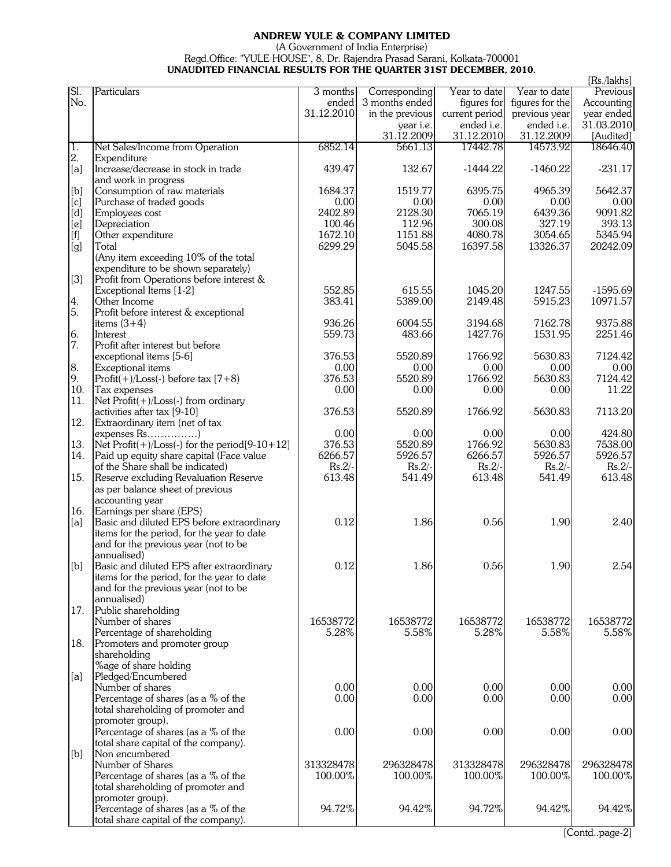## **ANDREW YULE & COMPANY LIMITED**

## (A Government of India Enterprise)

## Regd.Office: "YULE HOUSE", 8, Dr. Rajendra Prasad Sarani, Kolkata-700001

|                                                                                                                                                                                    | UNAUDITED FINANCIAL RESULTS FOR THE QUARTER 31ST DECEMBER, 2010. |                |                 |                 |                 |                         |
|------------------------------------------------------------------------------------------------------------------------------------------------------------------------------------|------------------------------------------------------------------|----------------|-----------------|-----------------|-----------------|-------------------------|
| SI.                                                                                                                                                                                | Particulars                                                      | 3 months       | Corresponding   | Year to date    | Year to date    | [Rs./lakhs]<br>Previous |
| No.                                                                                                                                                                                |                                                                  | ended          | 3 months ended  | figures for     | figures for the | Accounting              |
|                                                                                                                                                                                    |                                                                  | 31.12.2010     | in the previous | current period  | previous year   | year ended              |
|                                                                                                                                                                                    |                                                                  |                | year i.e.       | ended i.e.      | ended i.e.      | 31.03.2010              |
|                                                                                                                                                                                    |                                                                  |                | 31.12.2009      | 31.12.2010      | 31.12.2009      | [Audited]               |
| 1.                                                                                                                                                                                 | Net Sales/Income from Operation                                  | 6852.14        | 5661.13         | 17442.78        | 14573.92        | 18646.40                |
| 2.                                                                                                                                                                                 | Expenditure                                                      |                |                 |                 |                 |                         |
| [a]                                                                                                                                                                                | Increase/decrease in stock in trade                              | 439.47         | 132.67          | $-1444.22$      | $-1460.22$      | $-231.17$               |
|                                                                                                                                                                                    | and work in progress                                             |                |                 |                 |                 |                         |
| [b]                                                                                                                                                                                | Consumption of raw materials                                     | 1684.37        | 1519.77         | 6395.75         | 4965.39         | 5642.37                 |
| [c]                                                                                                                                                                                | Purchase of traded goods                                         | 0.00           | 0.00            | 0.00            | 0.00            | 0.00                    |
| [d]                                                                                                                                                                                | Employees cost                                                   | 2402.89        | 2128.30         | 7065.19         | 6439.36         | 9091.82                 |
| [e]                                                                                                                                                                                | Depreciation                                                     | 100.46         | 112.96          | 300.08          | 327.19          | 393.13                  |
| $[f] % \centering % {\includegraphics[width=0.9\textwidth]{images/Traj_2.png}} \caption{The figure shows the results of the estimators in the left and right.} \label{fig:Traj_2}$ | Other expenditure                                                | 1672.10        | 1151.88         | 4080.78         | 3054.65         | 5345.94                 |
| [g]                                                                                                                                                                                | Total                                                            | 6299.29        | 5045.58         | 16397.58        | 13326.37        | 20242.09                |
|                                                                                                                                                                                    | (Any item exceeding 10% of the total                             |                |                 |                 |                 |                         |
|                                                                                                                                                                                    | expenditure to be shown separately)                              |                |                 |                 |                 |                         |
| [3]                                                                                                                                                                                | Profit from Operations before interest &                         |                |                 |                 |                 |                         |
|                                                                                                                                                                                    | Exceptional Items [1-2]                                          | 552.85         | 615.55          | 1045.20         | 1247.55         | $-1595.69$              |
| 4.                                                                                                                                                                                 | Other Income                                                     | 383.41         | 5389.00         | 2149.48         | 5915.23         | 10971.57                |
| 5.                                                                                                                                                                                 | Profit before interest & exceptional                             |                |                 |                 |                 |                         |
|                                                                                                                                                                                    | items $(3+4)$                                                    | 936.26         | 6004.55         | 3194.68         | 7162.78         | 9375.88                 |
| 6.                                                                                                                                                                                 | Interest                                                         | 559.73         | 483.66          | 1427.76         | 1531.95         | 2251.46                 |
| 7.                                                                                                                                                                                 | Profit after interest but before                                 |                |                 |                 |                 |                         |
|                                                                                                                                                                                    | exceptional items [5-6]                                          | 376.53         | 5520.89         | 1766.92         | 5630.83         | 7124.42                 |
| 8.<br>9.                                                                                                                                                                           | Exceptional items                                                | 0.00<br>376.53 | 0.00<br>5520.89 | 0.00<br>1766.92 | 0.00<br>5630.83 | 0.00                    |
| 10.                                                                                                                                                                                | Profit $(+)/$ Loss $(-)$ before tax $[7+8)$                      | 0.00           | 0.00            |                 | 0.00            | 7124.42<br>11.22        |
| 11.                                                                                                                                                                                | Tax expenses<br>Net $Profit(+) / Loss(-)$ from ordinary          |                |                 | 0.00            |                 |                         |
|                                                                                                                                                                                    | activities after tax [9-10]                                      | 376.53         | 5520.89         | 1766.92         | 5630.83         | 7113.20                 |
| 12.                                                                                                                                                                                | Extraordinary item (net of tax                                   |                |                 |                 |                 |                         |
|                                                                                                                                                                                    | expenses Rs)                                                     | 0.00           | 0.00            | 0.00            | 0.00            | 424.80                  |
| 13.                                                                                                                                                                                | Net $Profit(+) / Loss(-)$ for the period $[9-10+12]$             | 376.53         | 5520.89         | 1766.92         | 5630.83         | 7538.00                 |
| 14.                                                                                                                                                                                | Paid up equity share capital (Face value                         | 6266.57        | 5926.57         | 6266.57         | 5926.57         | 5926.57                 |
|                                                                                                                                                                                    | of the Share shall be indicated)                                 | $Rs.2/-$       | $Rs.2/-$        | $Rs.2/-$        | $Rs.2/-$        | $Rs.2/-$                |
| 15.                                                                                                                                                                                | Reserve excluding Revaluation Reserve                            | 613.48         | 541.49          | 613.48          | 541.49          | 613.48                  |
|                                                                                                                                                                                    | as per balance sheet of previous                                 |                |                 |                 |                 |                         |
|                                                                                                                                                                                    | accounting year                                                  |                |                 |                 |                 |                         |
| 16.                                                                                                                                                                                | Earnings per share (EPS)                                         |                |                 |                 |                 |                         |
| [a]                                                                                                                                                                                | Basic and diluted EPS before extraordinary                       | 0.12           | 1.86            | 0.56            | 1.90            | 2.40                    |
|                                                                                                                                                                                    | items for the period, for the year to date                       |                |                 |                 |                 |                         |
|                                                                                                                                                                                    | and for the previous year (not to be                             |                |                 |                 |                 |                         |
|                                                                                                                                                                                    | annualised)                                                      |                |                 |                 |                 |                         |
| [b]                                                                                                                                                                                | Basic and diluted EPS after extraordinary                        | 0.12           | 1.86            | 0.56            | 1.90            | 2.54                    |
|                                                                                                                                                                                    | items for the period, for the year to date                       |                |                 |                 |                 |                         |
|                                                                                                                                                                                    | and for the previous year (not to be                             |                |                 |                 |                 |                         |
|                                                                                                                                                                                    | annualised)                                                      |                |                 |                 |                 |                         |
| 17.                                                                                                                                                                                | Public shareholding                                              |                |                 |                 |                 |                         |
|                                                                                                                                                                                    | Number of shares                                                 | 16538772       | 16538772        | 16538772        | 16538772        | 16538772                |
|                                                                                                                                                                                    | Percentage of shareholding                                       | 5.28%          | 5.58%           | 5.28%           | 5.58%           | 5.58%                   |
| 18.                                                                                                                                                                                | Promoters and promoter group                                     |                |                 |                 |                 |                         |
|                                                                                                                                                                                    | shareholding                                                     |                |                 |                 |                 |                         |
|                                                                                                                                                                                    | %age of share holding                                            |                |                 |                 |                 |                         |
| [a]                                                                                                                                                                                | Pledged/Encumbered                                               |                |                 |                 |                 |                         |
|                                                                                                                                                                                    | Number of shares<br>Percentage of shares (as a % of the          | 0.00<br>0.00   | 0.00<br>0.00    | 0.00<br>0.00    | 0.00<br>0.00    | 0.00<br>0.00            |
|                                                                                                                                                                                    | total shareholding of promoter and                               |                |                 |                 |                 |                         |
|                                                                                                                                                                                    | promoter group).                                                 |                |                 |                 |                 |                         |
|                                                                                                                                                                                    | Percentage of shares (as a % of the                              | 0.00           | 0.00            | 0.00            | 0.00            | 0.00                    |
|                                                                                                                                                                                    | total share capital of the company).                             |                |                 |                 |                 |                         |
| [b]                                                                                                                                                                                | Non encumbered                                                   |                |                 |                 |                 |                         |
|                                                                                                                                                                                    | Number of Shares                                                 | 313328478      | 296328478       | 313328478       | 296328478       | 296328478               |
|                                                                                                                                                                                    | Percentage of shares (as a % of the                              | 100.00%        | 100.00%         | 100.00%         | 100.00%         | 100.00%                 |
|                                                                                                                                                                                    | total shareholding of promoter and                               |                |                 |                 |                 |                         |
|                                                                                                                                                                                    | promoter group).                                                 |                |                 |                 |                 |                         |
|                                                                                                                                                                                    | Percentage of shares (as a % of the                              | 94.72%         | 94.42%          | 94.72%          | 94.42%          | 94.42%                  |
|                                                                                                                                                                                    | total share capital of the company).                             |                |                 |                 |                 |                         |

[Contd..page-2]